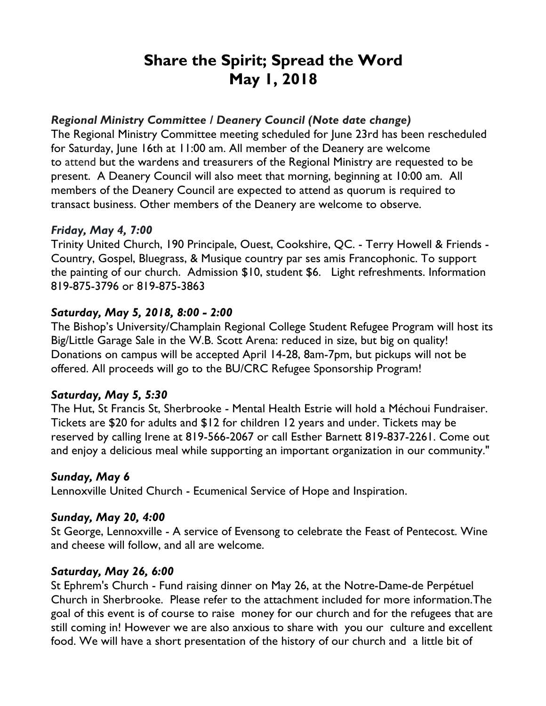# **Share the Spirit; Spread the Word May 1, 2018**

#### *Regional Ministry Committee / Deanery Council (Note date change)*

The Regional Ministry Committee meeting scheduled for June 23rd has been rescheduled for Saturday, June 16th at 11:00 am. All member of the Deanery are welcome to attend but the wardens and treasurers of the Regional Ministry are requested to be present. A Deanery Council will also meet that morning, beginning at 10:00 am. All members of the Deanery Council are expected to attend as quorum is required to transact business. Other members of the Deanery are welcome to observe.

#### *Friday, May 4, 7:00*

Trinity United Church, 190 Principale, Ouest, Cookshire, QC. - Terry Howell & Friends - Country, Gospel, Bluegrass, & Musique country par ses amis Francophonic. To support the painting of our church. Admission \$10, student \$6. Light refreshments. Information 819-875-3796 or 819-875-3863

## *Saturday, May 5, 2018, 8:00 - 2:00*

The Bishop's University/Champlain Regional College Student Refugee Program will host its Big/Little Garage Sale in the W.B. Scott Arena: reduced in size, but big on quality! Donations on campus will be accepted April 14-28, 8am-7pm, but pickups will not be offered. All proceeds will go to the BU/CRC Refugee Sponsorship Program!

## *Saturday, May 5, 5:30*

The Hut, St Francis St, Sherbrooke - Mental Health Estrie will hold a Méchoui Fundraiser. Tickets are \$20 for adults and \$12 for children 12 years and under. Tickets may be reserved by calling Irene at 819-566-2067 or call Esther Barnett 819-837-2261. Come out and enjoy a delicious meal while supporting an important organization in our community."

## *Sunday, May 6*

Lennoxville United Church - Ecumenical Service of Hope and Inspiration.

#### *Sunday, May 20, 4:00*

St George, Lennoxville - A service of Evensong to celebrate the Feast of Pentecost. Wine and cheese will follow, and all are welcome.

## *Saturday, May 26, 6:00*

St Ephrem's Church - Fund raising dinner on May 26, at the Notre-Dame-de Perpétuel Church in Sherbrooke. Please refer to the attachment included for more information.The goal of this event is of course to raise money for our church and for the refugees that are still coming in! However we are also anxious to share with you our culture and excellent food. We will have a short presentation of the history of our church and a little bit of